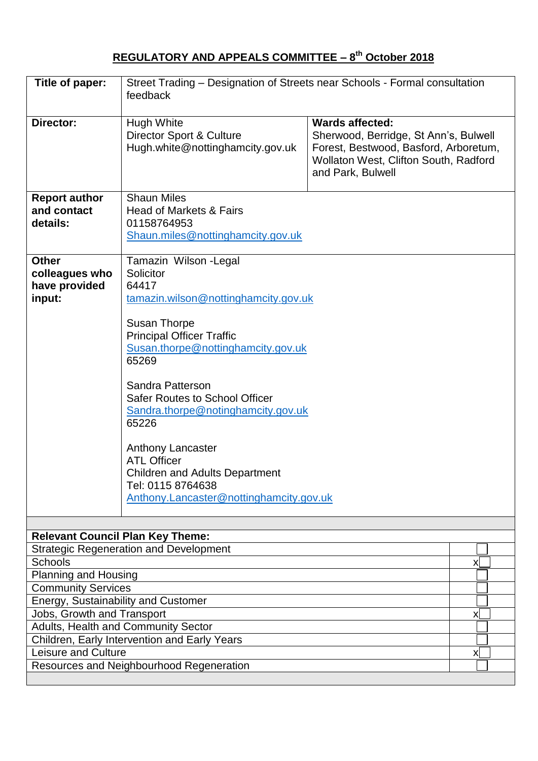## **REGULATORY AND APPEALS COMMITTEE – 8 th October 2018**

| Title of paper:                                                                         | Street Trading - Designation of Streets near Schools - Formal consultation<br>feedback                                                                                                                                                                                                                                                                                                                                                                                |                                                                                                                                                                        |   |
|-----------------------------------------------------------------------------------------|-----------------------------------------------------------------------------------------------------------------------------------------------------------------------------------------------------------------------------------------------------------------------------------------------------------------------------------------------------------------------------------------------------------------------------------------------------------------------|------------------------------------------------------------------------------------------------------------------------------------------------------------------------|---|
| Director:                                                                               | <b>Hugh White</b><br><b>Director Sport &amp; Culture</b><br>Hugh.white@nottinghamcity.gov.uk                                                                                                                                                                                                                                                                                                                                                                          | <b>Wards affected:</b><br>Sherwood, Berridge, St Ann's, Bulwell<br>Forest, Bestwood, Basford, Arboretum,<br>Wollaton West, Clifton South, Radford<br>and Park, Bulwell |   |
| <b>Report author</b><br>and contact<br>details:                                         | <b>Shaun Miles</b><br>Head of Markets & Fairs<br>01158764953<br>Shaun.miles@nottinghamcity.gov.uk                                                                                                                                                                                                                                                                                                                                                                     |                                                                                                                                                                        |   |
| <b>Other</b><br>colleagues who<br>have provided<br>input:                               | Tamazin Wilson - Legal<br>Solicitor<br>64417<br>tamazin.wilson@nottinghamcity.gov.uk<br><b>Susan Thorpe</b><br><b>Principal Officer Traffic</b><br>Susan.thorpe@nottinghamcity.gov.uk<br>65269<br>Sandra Patterson<br><b>Safer Routes to School Officer</b><br>Sandra.thorpe@notinghamcity.gov.uk<br>65226<br><b>Anthony Lancaster</b><br><b>ATL Officer</b><br><b>Children and Adults Department</b><br>Tel: 0115 8764638<br>Anthony.Lancaster@nottinghamcity.gov.uk |                                                                                                                                                                        |   |
|                                                                                         | <b>Relevant Council Plan Key Theme:</b>                                                                                                                                                                                                                                                                                                                                                                                                                               |                                                                                                                                                                        |   |
| <b>Strategic Regeneration and Development</b><br><b>Schools</b><br>Planning and Housing |                                                                                                                                                                                                                                                                                                                                                                                                                                                                       | x                                                                                                                                                                      |   |
|                                                                                         | <b>Community Services</b>                                                                                                                                                                                                                                                                                                                                                                                                                                             |                                                                                                                                                                        |   |
| Energy, Sustainability and Customer<br>Jobs, Growth and Transport                       |                                                                                                                                                                                                                                                                                                                                                                                                                                                                       |                                                                                                                                                                        | x |
| Adults, Health and Community Sector                                                     |                                                                                                                                                                                                                                                                                                                                                                                                                                                                       |                                                                                                                                                                        |   |
|                                                                                         | Children, Early Intervention and Early Years                                                                                                                                                                                                                                                                                                                                                                                                                          |                                                                                                                                                                        |   |
| <b>Leisure and Culture</b>                                                              |                                                                                                                                                                                                                                                                                                                                                                                                                                                                       |                                                                                                                                                                        | X |
| Resources and Neighbourhood Regeneration                                                |                                                                                                                                                                                                                                                                                                                                                                                                                                                                       |                                                                                                                                                                        |   |
|                                                                                         |                                                                                                                                                                                                                                                                                                                                                                                                                                                                       |                                                                                                                                                                        |   |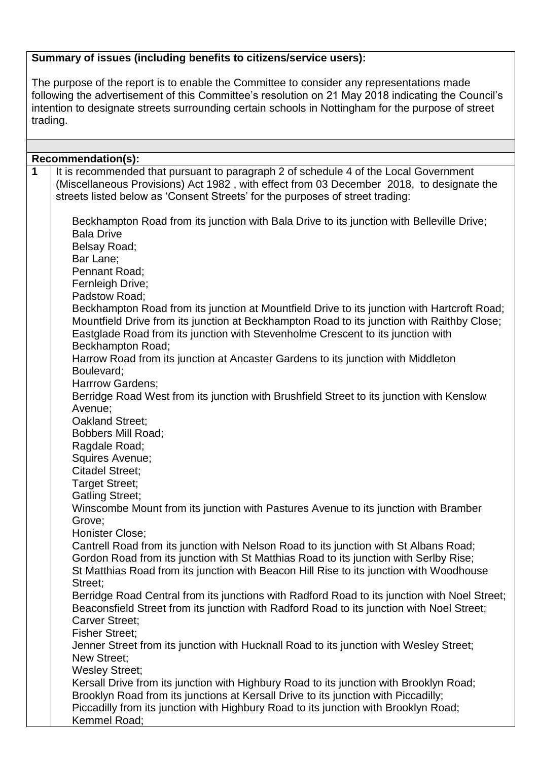# **Summary of issues (including benefits to citizens/service users):**

The purpose of the report is to enable the Committee to consider any representations made following the advertisement of this Committee's resolution on 21 May 2018 indicating the Council's intention to designate streets surrounding certain schools in Nottingham for the purpose of street trading.

|   | Recommendation(s):                                                                                                                                                                                                                                                                                                        |  |  |  |  |
|---|---------------------------------------------------------------------------------------------------------------------------------------------------------------------------------------------------------------------------------------------------------------------------------------------------------------------------|--|--|--|--|
| 1 | It is recommended that pursuant to paragraph 2 of schedule 4 of the Local Government<br>(Miscellaneous Provisions) Act 1982, with effect from 03 December 2018, to designate the<br>streets listed below as 'Consent Streets' for the purposes of street trading:                                                         |  |  |  |  |
|   | Beckhampton Road from its junction with Bala Drive to its junction with Belleville Drive;<br><b>Bala Drive</b><br>Belsay Road;<br>Bar Lane;<br>Pennant Road;                                                                                                                                                              |  |  |  |  |
|   | Fernleigh Drive;                                                                                                                                                                                                                                                                                                          |  |  |  |  |
|   | Padstow Road;<br>Beckhampton Road from its junction at Mountfield Drive to its junction with Hartcroft Road;<br>Mountfield Drive from its junction at Beckhampton Road to its junction with Raithby Close;<br>Eastglade Road from its junction with Stevenholme Crescent to its junction with<br><b>Beckhampton Road;</b> |  |  |  |  |
|   | Harrow Road from its junction at Ancaster Gardens to its junction with Middleton<br>Boulevard;<br>Harrrow Gardens;                                                                                                                                                                                                        |  |  |  |  |
|   | Berridge Road West from its junction with Brushfield Street to its junction with Kenslow<br>Avenue;<br>Oakland Street;                                                                                                                                                                                                    |  |  |  |  |
|   | <b>Bobbers Mill Road;</b><br>Ragdale Road;                                                                                                                                                                                                                                                                                |  |  |  |  |
|   | Squires Avenue;<br><b>Citadel Street:</b>                                                                                                                                                                                                                                                                                 |  |  |  |  |
|   | <b>Target Street;</b>                                                                                                                                                                                                                                                                                                     |  |  |  |  |
|   | <b>Gatling Street;</b>                                                                                                                                                                                                                                                                                                    |  |  |  |  |
|   | Winscombe Mount from its junction with Pastures Avenue to its junction with Bramber<br>Grove;                                                                                                                                                                                                                             |  |  |  |  |
|   | Honister Close;                                                                                                                                                                                                                                                                                                           |  |  |  |  |
|   | Cantrell Road from its junction with Nelson Road to its junction with St Albans Road;<br>Gordon Road from its junction with St Matthias Road to its junction with Serlby Rise;<br>St Matthias Road from its junction with Beacon Hill Rise to its junction with Woodhouse<br>Street;                                      |  |  |  |  |
|   | Berridge Road Central from its junctions with Radford Road to its junction with Noel Street;<br>Beaconsfield Street from its junction with Radford Road to its junction with Noel Street;<br><b>Carver Street:</b>                                                                                                        |  |  |  |  |
|   | <b>Fisher Street;</b><br>Jenner Street from its junction with Hucknall Road to its junction with Wesley Street;                                                                                                                                                                                                           |  |  |  |  |
|   | New Street;<br><b>Wesley Street;</b>                                                                                                                                                                                                                                                                                      |  |  |  |  |
|   | Kersall Drive from its junction with Highbury Road to its junction with Brooklyn Road;<br>Brooklyn Road from its junctions at Kersall Drive to its junction with Piccadilly;<br>Piccadilly from its junction with Highbury Road to its junction with Brooklyn Road;<br>Kemmel Road;                                       |  |  |  |  |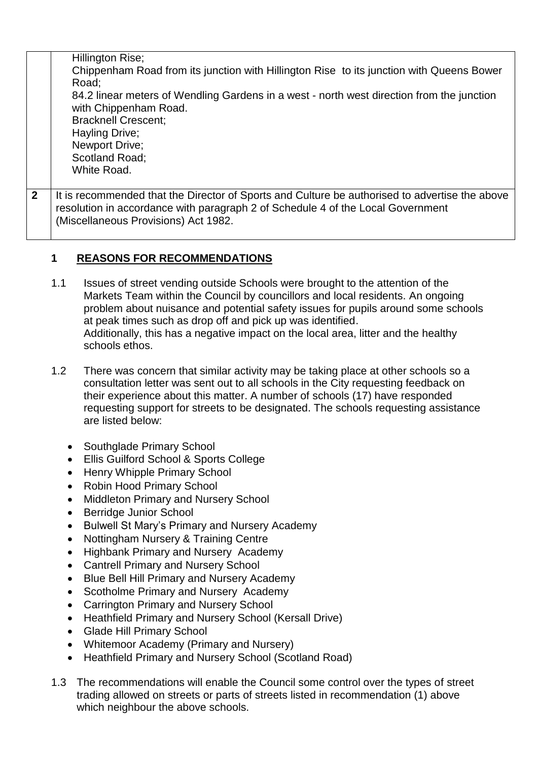|                | Hillington Rise;<br>Chippenham Road from its junction with Hillington Rise to its junction with Queens Bower<br>Road;<br>84.2 linear meters of Wendling Gardens in a west - north west direction from the junction<br>with Chippenham Road. |
|----------------|---------------------------------------------------------------------------------------------------------------------------------------------------------------------------------------------------------------------------------------------|
|                | <b>Bracknell Crescent:</b><br>Hayling Drive;                                                                                                                                                                                                |
|                | Newport Drive;<br>Scotland Road;                                                                                                                                                                                                            |
|                | White Road.                                                                                                                                                                                                                                 |
| $\overline{2}$ | It is recommended that the Director of Sports and Culture be authorised to advertise the above<br>resolution in accordance with paragraph 2 of Schedule 4 of the Local Government<br>(Miscellaneous Provisions) Act 1982.                   |

## **1 REASONS FOR RECOMMENDATIONS**

- 1.1 Issues of street vending outside Schools were brought to the attention of the Markets Team within the Council by councillors and local residents. An ongoing problem about nuisance and potential safety issues for pupils around some schools at peak times such as drop off and pick up was identified. Additionally, this has a negative impact on the local area, litter and the healthy schools ethos.
- 1.2 There was concern that similar activity may be taking place at other schools so a consultation letter was sent out to all schools in the City requesting feedback on their experience about this matter. A number of schools (17) have responded requesting support for streets to be designated. The schools requesting assistance are listed below:
	- Southglade Primary School
	- Ellis Guilford School & Sports College
	- Henry Whipple Primary School
	- Robin Hood Primary School
	- Middleton Primary and Nursery School
	- Berridge Junior School
	- Bulwell St Mary's Primary and Nursery Academy
	- Nottingham Nursery & Training Centre
	- Highbank Primary and Nursery Academy
	- Cantrell Primary and Nursery School
	- Blue Bell Hill Primary and Nursery Academy
	- Scotholme Primary and Nursery Academy
	- Carrington Primary and Nursery School
	- Heathfield Primary and Nursery School (Kersall Drive)
	- Glade Hill Primary School
	- Whitemoor Academy (Primary and Nursery)
	- Heathfield Primary and Nursery School (Scotland Road)
- 1.3 The recommendations will enable the Council some control over the types of street trading allowed on streets or parts of streets listed in recommendation (1) above which neighbour the above schools.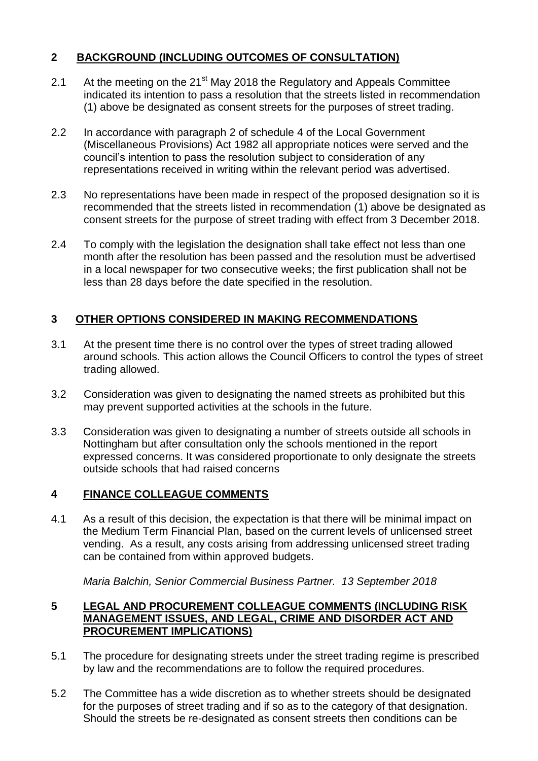## **2 BACKGROUND (INCLUDING OUTCOMES OF CONSULTATION)**

- 2.1 At the meeting on the 21<sup>st</sup> May 2018 the Regulatory and Appeals Committee indicated its intention to pass a resolution that the streets listed in recommendation (1) above be designated as consent streets for the purposes of street trading.
- 2.2 In accordance with paragraph 2 of schedule 4 of the Local Government (Miscellaneous Provisions) Act 1982 all appropriate notices were served and the council's intention to pass the resolution subject to consideration of any representations received in writing within the relevant period was advertised.
- 2.3 No representations have been made in respect of the proposed designation so it is recommended that the streets listed in recommendation (1) above be designated as consent streets for the purpose of street trading with effect from 3 December 2018.
- 2.4 To comply with the legislation the designation shall take effect not less than one month after the resolution has been passed and the resolution must be advertised in a local newspaper for two consecutive weeks; the first publication shall not be less than 28 days before the date specified in the resolution.

#### **3 OTHER OPTIONS CONSIDERED IN MAKING RECOMMENDATIONS**

- 3.1 At the present time there is no control over the types of street trading allowed around schools. This action allows the Council Officers to control the types of street trading allowed.
- 3.2 Consideration was given to designating the named streets as prohibited but this may prevent supported activities at the schools in the future.
- 3.3 Consideration was given to designating a number of streets outside all schools in Nottingham but after consultation only the schools mentioned in the report expressed concerns. It was considered proportionate to only designate the streets outside schools that had raised concerns

#### **4 FINANCE COLLEAGUE COMMENTS**

4.1 As a result of this decision, the expectation is that there will be minimal impact on the Medium Term Financial Plan, based on the current levels of unlicensed street vending. As a result, any costs arising from addressing unlicensed street trading can be contained from within approved budgets.

*Maria Balchin, Senior Commercial Business Partner. 13 September 2018*

#### **5 LEGAL AND PROCUREMENT COLLEAGUE COMMENTS (INCLUDING RISK MANAGEMENT ISSUES, AND LEGAL, CRIME AND DISORDER ACT AND PROCUREMENT IMPLICATIONS)**

- 5.1 The procedure for designating streets under the street trading regime is prescribed by law and the recommendations are to follow the required procedures.
- 5.2 The Committee has a wide discretion as to whether streets should be designated for the purposes of street trading and if so as to the category of that designation. Should the streets be re-designated as consent streets then conditions can be